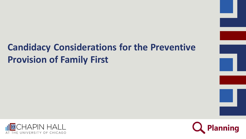### **Candidacy Considerations for the Preventive Provision of Family First**



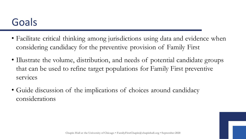### Goals

- Facilitate critical thinking among jurisdictions using data and evidence when considering candidacy for the preventive provision of Family First
- Illustrate the volume, distribution, and needs of potential candidate groups that can be used to refine target populations for Family First preventive services
- Guide discussion of the implications of choices around candidacy considerations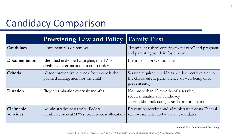### Candidacy Comparison

|                         | <b>Preexisting Law and Policy</b>                                                       | <b>Family First</b>                                                                                                           |
|-------------------------|-----------------------------------------------------------------------------------------|-------------------------------------------------------------------------------------------------------------------------------|
| Candidacy               | "Imminent risk of removal"                                                              | "Imminent risk of entering foster care" and pregnant<br>and parenting youth in foster care                                    |
| Documentation           | Identified in defined case plan, title IV-E<br>eligibility determination or court order | Identified in prevention plan                                                                                                 |
| Criteria                | Absent preventive services, foster care is the<br>planned arrangement for the child     | Service required to address needs directly related to<br>the child's safety, permanence, or well-being or to<br>prevent entry |
| Duration                | (Re)determination every six months                                                      | Not more than 12 months of a service;<br>redeterminations of candidacy<br>allow additional/contiguous 12-month periods        |
| Claimable<br>activities | Administrative costs only. Federal<br>reimbursement at 50% subject to cost allocation   | Prevention services and administrative costs. Federal<br>reimbursement at 50% for all candidates.                             |

Adapted from Don Winstead Consulting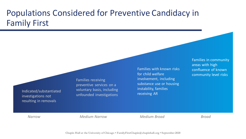#### Populations Considered for Preventive Candidacy in Family First

Indicated/substantiated investigations not resulting in removals

Families receiving preventive services on a voluntary basis, including unfounded investigations

Families with known risks for child welfare involvement, including substance use or housing instability, families receiving AR

Families in community areas with high confluence of known community level risks

*Narrow Medium Narrow Medium Broad Broad*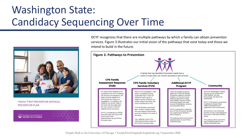# Washington State: Candidacy Sequencing Over Time



#### **FAMILY FIRST PREVENTION SERVICES: PREVENTION PLAN**

Washington State Department of **CHILDREN, YOUTH & FAMILIES**  DCYF recognizes that there are multiple pathways by which a family can obtain prevention services. Figure 3 illustrates our initial vision of the pathways that exist today and those we intend to build in the future.



**Chapin Hall at the University of Chicago • FamilyFirstChapin@chapinhall.org • September 2020**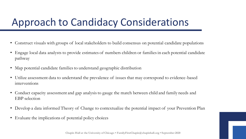# Approach to Candidacy Considerations

- Construct visuals with groups of local stakeholders to build consensus on potential candidate populations
- Engage local data analysts to provide estimates of numbers children or families in each potential candidate pathway
- Map potential candidate families to understand geographic distribution
- Utilize assessment data to understand the prevalence of issues that may correspond to evidence-based interventions
- Conduct capacity assessment and gap analysis to gauge the match between child and family needs and EBP selection
- Develop a data informed Theory of Change to contextualize the potential impact of your Prevention Plan
- Evaluate the implications of potential policy choices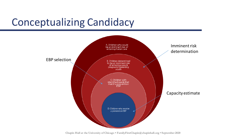# Conceptualizing Candidacy



**Chapin Hall at the University of Chicago • FamilyFirstChapin@chapinhall.org • September 2020**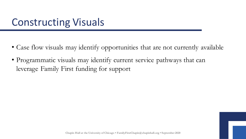### Constructing Visuals

- Case flow visuals may identify opportunities that are not currently available
- Programmatic visuals may identify current service pathways that can leverage Family First funding for support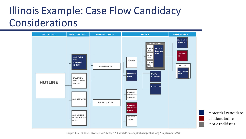# Illinois Example: Case Flow Candidacy Considerations



**Chapin Hall at the University of Chicago • FamilyFirstChapin@chapinhall.org • September 2020**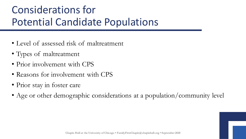# Considerations for Potential Candidate Populations

- Level of assessed risk of maltreatment
- Types of maltreatment
- Prior involvement with CPS
- Reasons for involvement with CPS
- Prior stay in foster care
- Age or other demographic considerations at a population/community level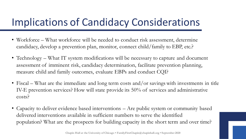## Implications of Candidacy Considerations

- Workforce What workforce will be needed to conduct risk assessment, determine candidacy, develop a prevention plan, monitor, connect child/family to EBP, etc.?
- Technology What IT system modifications will be necessary to capture and document assessment of imminent risk, candidacy determination, facilitate prevention planning, measure child and family outcomes, evaluate EBPs and conduct CQI?
- Fiscal What are the immediate and long term costs and/or savings with investments in title IV-E prevention services? How will state provide its 50% of services and administrative costs?
- Capacity to deliver evidence based interventions Are public system or community based delivered interventions available in sufficient numbers to serve the identified population? What are the prospects for building capacity in the short term and over time?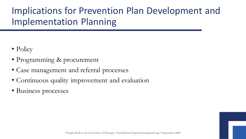#### Implications for Prevention Plan Development and Implementation Planning

- Policy
- Programming & procurement
- Case management and referral processes
- Continuous quality improvement and evaluation
- Business processes